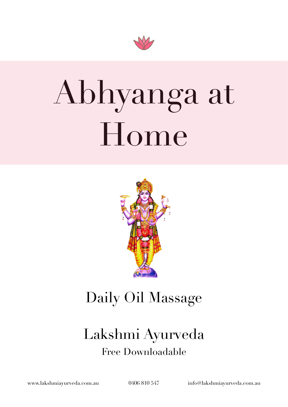

# Abhyanga at Home



### Daily Oil Massage

### Lakshmi Ayurveda Free Downloadable

[www.lakshmiayurveda.com.au](http://www.lakshmiayurveda.com.au) 0406 810 547 [info@lakshmiayurveda.com.au](mailto:info@lakshmiayurveda.com.au)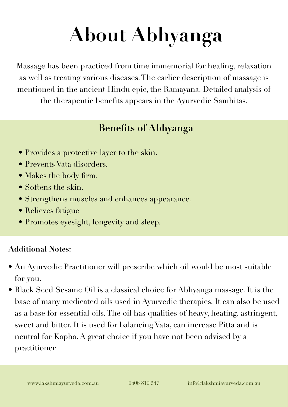## **About Abhyanga**

Massage has been practiced from time immemorial for healing, relaxation as well as treating various diseases. The earlier description of massage is mentioned in the ancient Hindu epic, the Ramayana. Detailed analysis of the therapeutic benefits appears in the Ayurvedic Samhitas.

#### **Benefits of Abhyanga**

- Provides a protective layer to the skin.
- Prevents Vata disorders.
- Makes the body firm.
- Softens the skin.
- Strengthens muscles and enhances appearance.
- Relieves fatigue
- Promotes eyesight, longevity and sleep.

#### **Additional Notes:**

- An Ayurvedic Practitioner will prescribe which oil would be most suitable for you.
- Black Seed Sesame Oil is a classical choice for Abhyanga massage. It is the base of many medicated oils used in Ayurvedic therapies. It can also be used as a base for essential oils. The oil has qualities of heavy, heating, astringent, sweet and bitter. It is used for balancing Vata, can increase Pitta and is neutral for Kapha. A great choice if you have not been advised by a practitioner.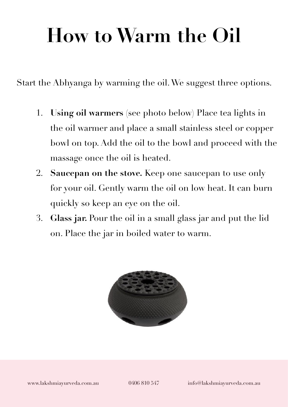### **How to Warm the Oil**

Start the Abhyanga by warming the oil. We suggest three options.

- 1. **Using oil warmers** (see photo below) Place tea lights in the oil warmer and place a small stainless steel or copper bowl on top. Add the oil to the bowl and proceed with the massage once the oil is heated.
- 2. **Saucepan on the stove.** Keep one saucepan to use only for your oil. Gently warm the oil on low heat. It can burn quickly so keep an eye on the oil.
- 3. **Glass jar.** Pour the oil in a small glass jar and put the lid on. Place the jar in boiled water to warm.

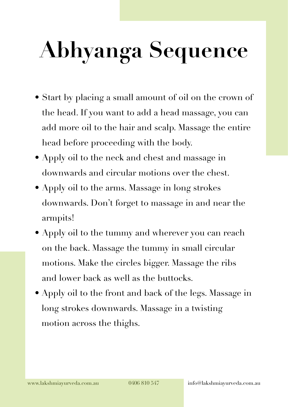# **Abhyanga Sequence**

- Start by placing a small amount of oil on the crown of the head. If you want to add a head massage, you can add more oil to the hair and scalp. Massage the entire head before proceeding with the body.
- Apply oil to the neck and chest and massage in downwards and circular motions over the chest.
- Apply oil to the arms. Massage in long strokes downwards. Don't forget to massage in and near the armpits!
- Apply oil to the tummy and wherever you can reach on the back. Massage the tummy in small circular motions. Make the circles bigger. Massage the ribs and lower back as well as the buttocks.
- Apply oil to the front and back of the legs. Massage in long strokes downwards. Massage in a twisting motion across the thighs.